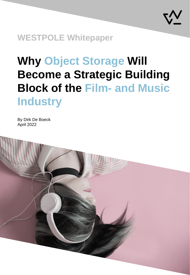

**WESTPOLE Whitepaper**

# **Why Object Storage Will Become a Strategic Building Block of the Film- and Music Industry**

By Dirk De Boeck April 2022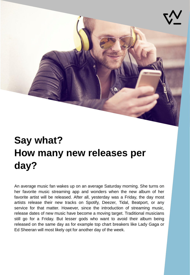

## **Say what? How many new releases per day?**

An average music fan wakes up on an average Saturday morning. She turns on her favorite music streaming app and wonders when the new album of her favorite artist will be released. After all, yesterday was a Friday, the day most artists release their new tracks on Spotify, Deezer, Tidal, Beatport, or any service for that matter. However, since the introduction of streaming music, release dates of new music have become a moving target. Traditional musicians still go for a Friday. But lesser gods who want to avoid their album being released on the same day as for example top chart breakers like Lady Gaga or Ed Sheeran will most likely opt for another day of the week.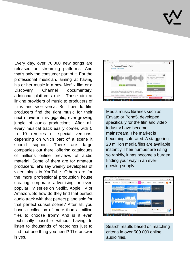Every day, over 70.000 new songs are released on streaming platforms. And that's only the consumer part of it. For the professional musician, aiming at having his or her music in a new Netflix film or a Discovery Channel documentary, additional platforms exist. These aim at linking providers of music to producers of films and vice versa. But how do film producers find the right music for their next movie in this gigantic, ever-growing jungle of audio productions. After all, every musical track easily comes with 5 to 10 remixes or special versions, depending on which part of a scene it should support. There are large companies out there, offering catalogues of millions online previews of audio material. Some of them are for amateur producers, let's say weekly developers of video blogs in YouTube. Others are for the more professional production house creating corporate advertising or even popular TV series on Netflix, Apple TV or Amazon. So how do they find that perfect audio track with that perfect piano solo for that perfect sunset scene? After all, you have a collection of more than a million files to choose from? And is it even technically possible without having to listen to thousands of recordings just to find that one thing you need? The answer is yes.



Media music libraries such as Envato or Pond5, developed specifically for the film and video industry have become mainstream. The market is becoming saturated. A staggering 20 million media files are available instantly. Their number are rising so rapidly, it has become a burden finding your way in an evergrowing supply.



Search results based on matching criteria in over 500.000 online audio files.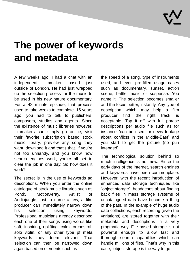

### **The power of keywords and metadata**

A few weeks ago, I had a chat with an independent filmmaker, based just outside of London. He had just wrapped up the selection process for the music to be used in his new nature documentary. For a 42 minute episode, that process used to take weeks to complete. 15 years ago, you had to talk to publishers, composers, studios and agents. Since the existence of music libraries however, filmmakers can simply go online, visit their favorite subscription based stock music library, preview any song they want, download it and that's that. If you're not too unhandy, and you know how search engines work, you're all set to clear the job in one day. So how does it work?

The secret is in the use of keywords ad descriptions. When you enter the online catalogue of stock music libraries such as Pond5, MotionArray, Artlist or Audiojungle, just to name a few, a film producer can immediately narrow down his selection using keywords. Professional musicians already described each one of their songs using words like soft, inspiring, uplifting, calm, orchestral, solo violin, or any other type pf meta keywords they deem relevant. That selection can then be narrowed down again based on elements such as

the speed of a song, type of instruments used, and even pre-filled usage cases such as documentary, sunset, action scene, battle music or suspense. You name it. The selection becomes smaller and the focus better, instantly. Any type of description which may help a film producer find the right track is acceptable. Top it off with full phrase descriptions per audio file such as for instance "can be used for news footage about conflicts in the Middle-East" and you start to get the picture (no pun intended).

The technological solution behind so much intelligence is not new. Since the early days of the internet, search engines and keywords have been commonplace. However, with the recent introduction of enhanced data storage techniques like "object storage", headaches about finding back files in mass storage systems of uncatalogued data have become a thing of the past. In the example of huge audio data collections, each recording (even the variations) are stored together with their metadata and descriptions in a very pragmatic way. File based storage is not powerful enough to allow fast and thorough search capabilities which can handle millions of files. That's why in this case, object storage is the way to go.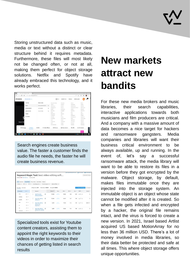Storing unstructured data such as music, media or text without a distinct or clear structure behind it requires metadata. Furthermore, these files will most likely not be changed often, or not at all, making them perfect for object storage solutions. Netflix and Spotify have already embraced this technology, and it works perfect.

| <b>POND5</b>     | <b>INCIANSE MEDIAL AV</b> |                                   |               | <b><i>O</i></b> EN ~ | CONTACT US                                   | <b>PRICING</b>       | <b>REFER &amp; EARN</b> |                    | ூ |  |
|------------------|---------------------------|-----------------------------------|---------------|----------------------|----------------------------------------------|----------------------|-------------------------|--------------------|---|--|
|                  | FOOTAGE                   | MUSIC HOME                        |               | Acoustic Guitar.     | <b>Dramatic</b>                              | House <sup>®</sup>   |                         | Plano              |   |  |
|                  | MUSIC                     | POPULAR KEYWORDS                  |               | Action               | Dreamy                                       | Inspiration          |                         | Playful            |   |  |
|                  |                           |                                   | $\rightarrow$ | Adventure            | <b>Drums</b>                                 | trispirational       |                         | Positive           |   |  |
|                  | SOUND EFFECTS             | <b>CATEGORIES</b>                 | $\rightarrow$ | <b>Background</b>    | <b>Biectric</b>                              | Imaginationid Plano. |                         | <b>Real Estate</b> |   |  |
|                  |                           |                                   |               | <b>Bright</b>        | Emotional                                    | Inspire              |                         | Relaxed            |   |  |
|                  | AFTER EFFECTS             | COLLECTIONS                       | $\rightarrow$ | Business             | Energetic                                    | Inspiring            |                         | <b>Romantic</b>    |   |  |
|                  |                           |                                   |               | Calm                 | Epic                                         | Intro                |                         | Sad                |   |  |
|                  | <b>IMAGES</b>             |                                   |               | Christmas.           | <b>Fachion</b>                               | Logo                 |                         | Sports             |   |  |
|                  | 3D MODELS                 |                                   |               | Cinematic            | Fun.                                         | Meditation           |                         | Stinger            |   |  |
|                  |                           |                                   |               | Comedy               | Funny                                        | Motivational         |                         | <b>Quigensit</b>   |   |  |
|                  |                           |                                   |               | Confident            | Game Show                                    | News                 |                         | Technology         |   |  |
|                  |                           |                                   |               | Cool                 | Guitar                                       | Optimistic           |                         | <b>Liksubela</b>   |   |  |
| Save tin         |                           |                                   |               | Corporate            | Halloween                                    | Orchestra            |                         | Upbeat             |   |  |
|                  |                           |                                   |               | Dark                 | Happy                                        | <b>Patriotic</b>     |                         | Uplifting          |   |  |
|                  |                           |                                   |               | Documentary          | Horror                                       | Peaceful             |                         | Wedding            |   |  |
| <b>E</b> Footage | <b>Ja Music</b>           | HI SFX<br><b>OD After Effects</b> |               | <b>101 Photos</b>    | <sup><sup><i>T</i></sup> Illustrations</sup> | 包 PSD                |                         | CO 3D Models       |   |  |

Search engines create business value. The faster a customer finds the audio file he needs, the faster he will create business revenue.

|                        | Dashboard > Keyword Overview > Keyword Magic Tool |              |                                              |                    |                    |        |                | * Keyword Research course |      | <b>D</b> User marcul | <b>B</b> Send Fredback |
|------------------------|---------------------------------------------------|--------------|----------------------------------------------|--------------------|--------------------|--------|----------------|---------------------------|------|----------------------|------------------------|
|                        |                                                   |              | Keyword Magic Tool: best video editing soft  |                    |                    |        |                |                           |      |                      | View search history    |
|                        | Database: III United States v Currency: USD       |              |                                              |                    |                    |        |                |                           |      |                      |                        |
| All<br>Questions       | <b>Broad Match</b>                                | Phrase Match | <b>Exact Match</b><br>Related                |                    |                    |        |                |                           |      |                      |                        |
| Volume v               | OC V<br>KD % V                                    |              | Include keywords v                           | Exclude keywords v | Advanced Filters > |        |                |                           |      |                      |                        |
| By volume<br>By number |                                                   |              | All keywords: 4,219<br>Total volume: 129,380 |                    | Average KD: 80.85% |        |                |                           |      | + To Keyword Manager | <b>A</b> Door          |
| All keywords           | 4.219                                             |              | Keyword F                                    |                    | Volume II          | Trend  | KO %           | <b>CPCS</b>               | Com. | SERP F.J.            | Results                |
| $+$ $t$ res            | $1.105 - 0$<br><b>Service</b>                     | п            | best free video<br>editing software =        | Ò                  | 33,100             | $\sim$ | 83.84          | 1.20                      | 0.20 | 业 ★ +5               | ö                      |
| - windows              | 536.                                              |              |                                              |                    |                    |        |                |                           |      |                      |                        |
| > youtube              | 265.70                                            | o            | best video editing<br>software +             | Ò                  | 33,100             | $\sim$ | 84.17          | 1.67                      | 1.00 | $WC$ +6              | ٥                      |
| $-$ mag                | $252 - 40$                                        | o            | best video editing                           | ó                  | -938<br>3,600      |        | 33466<br>78.33 | 242<br>1.75               | 1.00 | $400 - 44$           | B<br>363M              |
| $1-0c$                 | $233 - 0$                                         |              | software for<br>beginners v                  |                    |                    |        |                |                           |      |                      |                        |
| $-10$                  | <b>START</b><br>174 m                             |              | best video editing                           | ó                  | 3,600              | $\sim$ | 80.56          | 1.42                      | 1.00 | 业 <b>★</b> +S        | ö                      |
| download               | $165 - 10$                                        |              | software for voutube                         |                    |                    |        |                |                           |      |                      |                        |

Specialized tools exist for Youtube content creators, assisting them to appoint the right keywords to their videos in order to maximize their chances of getting listed in search results

### **New markets attract new bandits**

For these new media brokers and music libraries, their search capabilities, interactive applications towards both musicians and film producers are critical. And a company with a massive amount of data becomes a nice target for hackers and ransomware gangsters. Media companies and libraries will want their business critical environment to be always available, up and running. In the event of, let's say a successful ransomware attack, the media library will want to be able to restore its files in a version before they got encrypted by the malware. Object storage, by default, makes files immutable once they are injected into the storage system. An immutable object is an object whose state cannot be modified after it is created. So when a file gets infected and encrypted by a hacker, the original file remains intact, and the virus is forced to create a new version. In 2021, Israel based Artlist acquired US based MotionArray for no less than 36 million USD. There's a lot of money involved in media libraries, so their data better be protected and safe at all times. This where object storage offers unique opportunities.